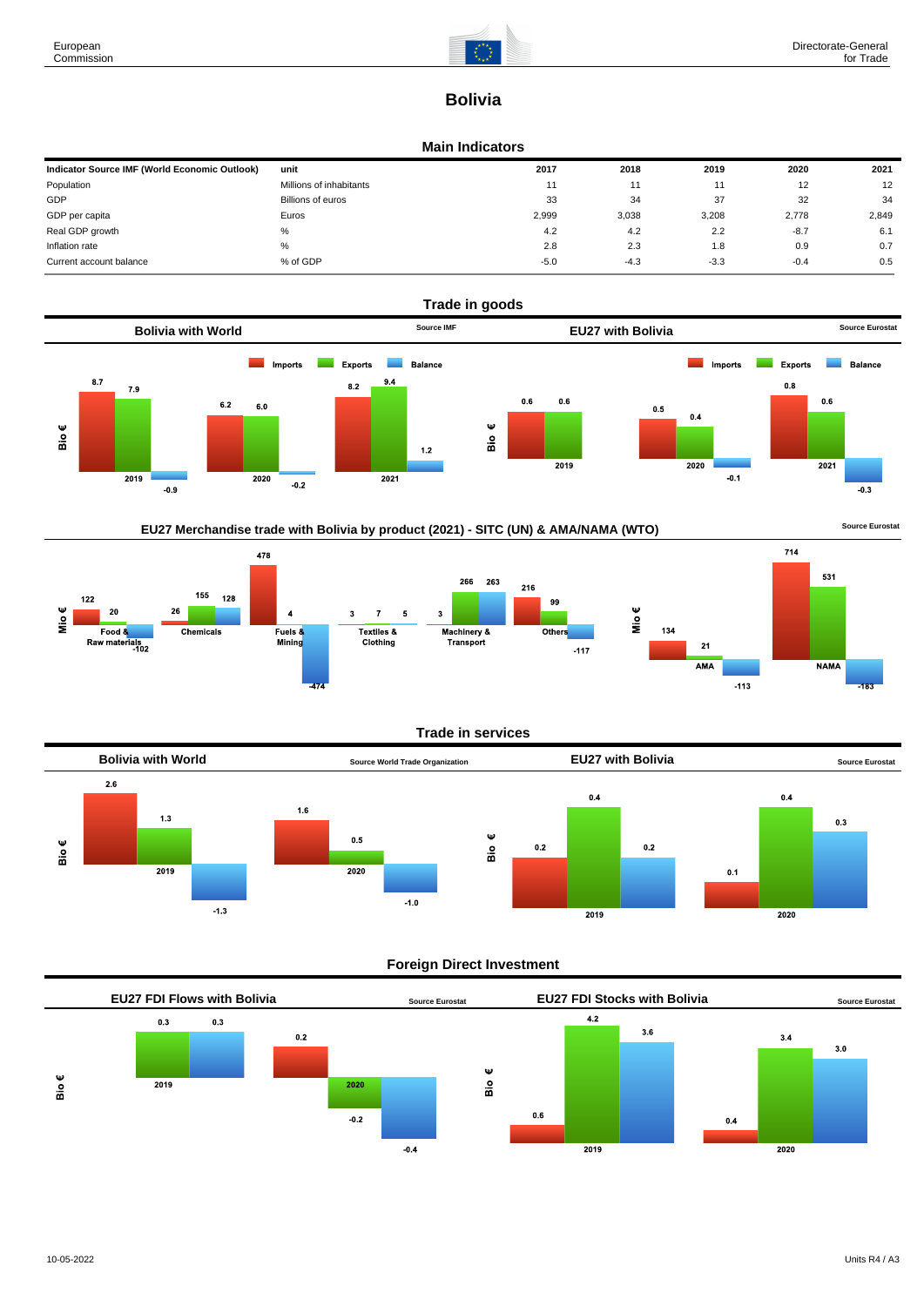

# **Bolivia**

#### **Main Indicators**

| Indicator Source IMF (World Economic Outlook) | unit                    | 2017   | 2018   | 2019   | 2020   | 2021  |
|-----------------------------------------------|-------------------------|--------|--------|--------|--------|-------|
| Population                                    | Millions of inhabitants | 11     |        | 11     | 12     | 12    |
| GDP                                           | Billions of euros       | 33     | 34     | 37     | 32     | 34    |
| GDP per capita                                | Euros                   | 2.999  | 3,038  | 3,208  | 2,778  | 2,849 |
| Real GDP growth                               | %                       | 4.2    | 4.2    | 2.2    | $-8.7$ | 6.1   |
| Inflation rate                                | %                       | 2.8    | 2.3    | 1.8    | 0.9    | 0.7   |
| Current account balance                       | % of GDP                | $-5.0$ | $-4.3$ | $-3.3$ | $-0.4$ | 0.5   |



## EU27 Merchandise trade with Bolivia by product (2021) - SITC (UN) & AMA/NAMA (WTO) **Source Eurostat**



#### **Trade in services**



#### **Foreign Direct Investment**